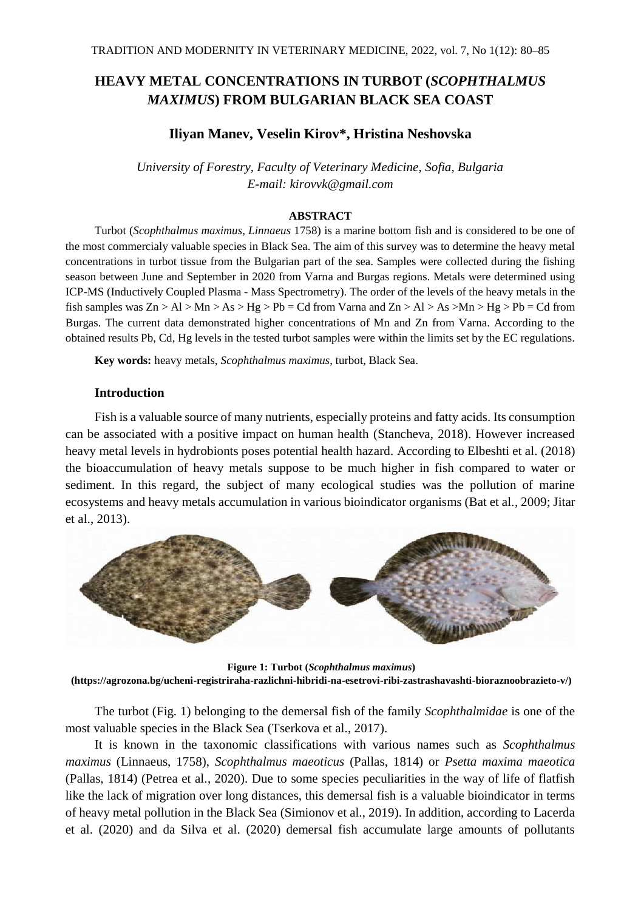# **HEAVY METAL CONCENTRATIONS IN TURBOT (***SCOPHTHALMUS MAXIMUS***) FROM BULGARIAN BLACK SEA COAST**

# **Iliyan Manev, Veselin Kirov\*, Hristina Neshovska**

*University of Forestry, Faculty of Veterinary Medicine, Sofia, Bulgaria E-mail: kirovvk@gmail.com*

#### **ABSTRACT**

Turbot (*Scophthalmus maximus, Linnaeus* 1758) is a marine bottom fish and is considered to be one of the most commercialy valuable species in Black Sea. The aim of this survey was to determine the heavy metal concentrations in turbot tissue from the Bulgarian part of the sea. Samples were collected during the fishing season between June and September in 2020 from Varna and Burgas regions. Metals were determined using ICP-MS (Inductively Coupled Plasma - Mass Spectrometry). The order of the levels of the heavy metals in the fish samples was  $Zn > Al > Mn > As > Hg > Pb = Cd$  from Varna and  $Zn > Al > As > Mn > Hg > Pb = Cd$  from Burgas. The current data demonstrated higher concentrations of Mn and Zn from Varna. According to the obtained results Pb, Cd, Hg levels in the tested turbot samples were within the limits set by the EC regulations.

**Key words:** heavy metals, *Scophthalmus maximus*, turbot, Black Sea.

### **Introduction**

Fish is a valuable source of many nutrients, especially proteins and fatty acids. Its consumption can be associated with a positive impact on human health (Stancheva, 2018). However increased heavy metal levels in hydrobionts poses potential health hazard. According to Elbeshti et al. (2018) the bioaccumulation of heavy metals suppose to be much higher in fish compared to water or sediment. In this regard, the subject of many ecological studies was the pollution of marine ecosystems and heavy metals accumulation in various bioindicator organisms (Bat et al., 2009; Jitar et al., 2013).



**Figure 1: Turbot (***Scophthalmus maximus***) (https://agrozona.bg/ucheni-registriraha-razlichni-hibridi-na-esetrovi-ribi-zastrashavashti-bioraznoobrazieto-v/)**

The turbot (Fig. 1) belonging to the demersal fish of the family *Scophthalmidae* is one of the most valuable species in the Black Sea (Tserkova et al., 2017).

It is known in the taxonomic classifications with various names such as *Scophthalmus maximus* (Linnaeus, 1758), *Scophthalmus maeoticus* (Pallas, 1814) or *Psetta maxima maeotica* (Pallas, 1814) (Petrea et al., 2020). Due to some species peculiarities in the way of life of flatfish like the lack of migration over long distances, this demersal fish is a valuable bioindicator in terms of heavy metal pollution in the Black Sea (Simionov et al., 2019). In addition, according to Lacerda et al. (2020) and da Silva et al. (2020) demersal fish accumulate large amounts of pollutants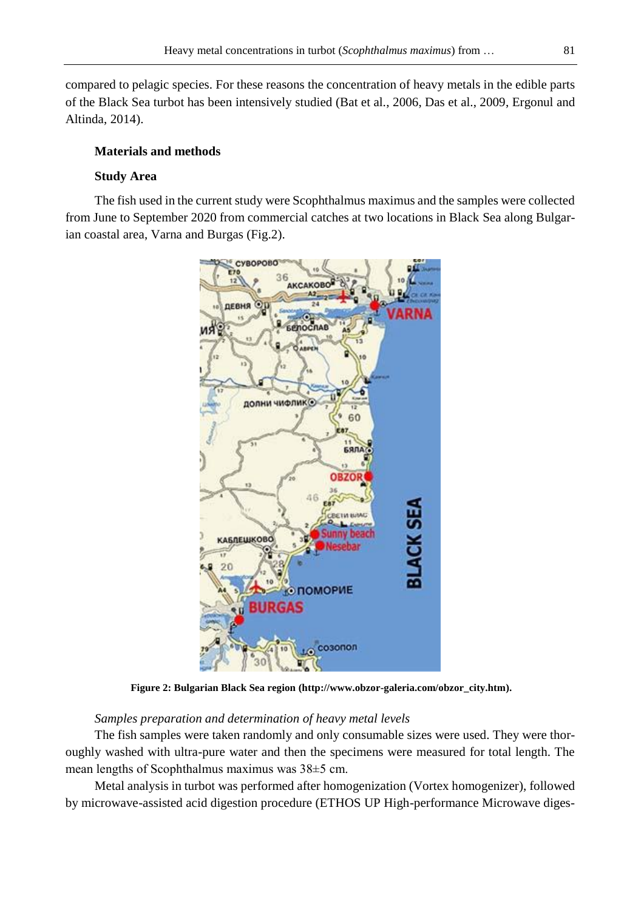compared to pelagic species. For these reasons the concentration of heavy metals in the edible parts of the Black Sea turbot has been intensively studied (Bat et al., 2006, Das et al., 2009, Ergonul and Altinda, 2014).

## **Materials and methods**

## **Study Area**

The fish used in the current study were Scophthalmus maximus and the samples were collected from June to September 2020 from commercial catches at two locations in Black Sea along Bulgarian coastal area, Varna and Burgas (Fig.2).



**Figure 2: Bulgarian Black Sea region (http://www.obzor-galeria.com/obzor\_city.htm).**

## *Samples preparation and determination of heavy metal levels*

The fish samples were taken randomly and only consumable sizes were used. They were thoroughly washed with ultra-pure water and then the specimens were measured for total length. The mean lengths of Scophthalmus maximus was 38±5 cm.

Metal analysis in turbot was performed after homogenization (Vortex homogenizer), followed by microwave-assisted acid digestion procedure (ETHOS UP High-performance Microwave diges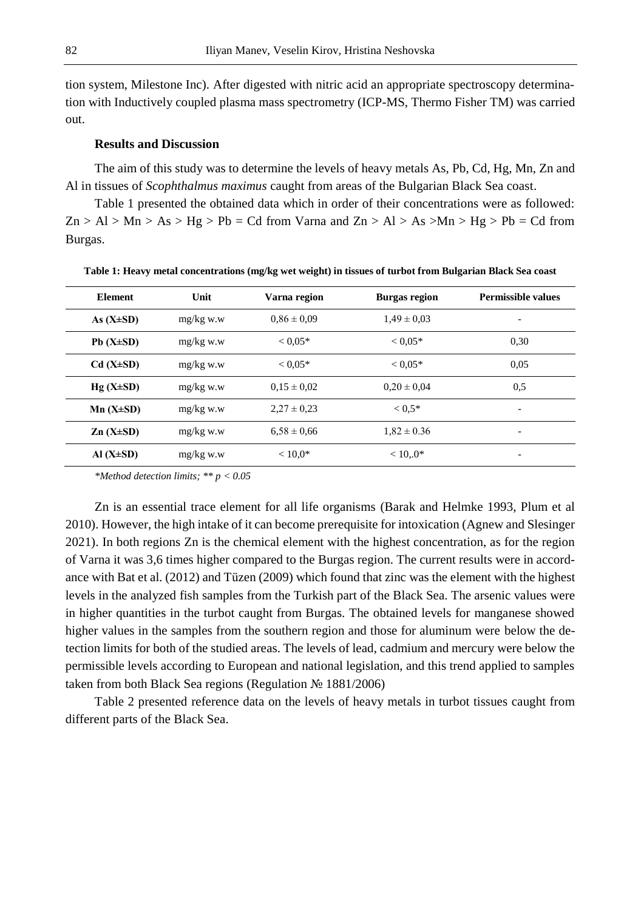tion system, Milestone Inc). After digested with nitric acid an appropriate spectroscopy determination with Inductively coupled plasma mass spectrometry (ICP-MS, Thermo Fisher TM) was carried out.

## **Results and Discussion**

The aim of this study was to determine the levels of heavy metals As, Pb, Cd, Hg, Mn, Zn and Al in tissues of *Scophthalmus maximus* caught from areas of the Bulgarian Black Sea coast.

Table 1 presented the obtained data which in order of their concentrations were as followed:  $Zn > Al > Mn > As > Hg > Pb = Cd$  from Varna and  $Zn > Al > As > Mn > Hg > Pb = Cd$  from Burgas.

| <b>Element</b>  | Unit        | Varna region    | <b>Burgas region</b> | <b>Permissible values</b> |
|-----------------|-------------|-----------------|----------------------|---------------------------|
| As $(X\pm SD)$  | $mg/kg$ w.w | $0.86 \pm 0.09$ | $1.49 \pm 0.03$      | $\overline{\phantom{a}}$  |
| $Pb(X\pm SD)$   | $mg/kg$ w.w | $< 0.05*$       | $< 0.05*$            | 0.30                      |
| $Cd(X\pm SD)$   | $mg/kg$ w.w | $< 0.05*$       | $< 0.05*$            | 0.05                      |
| $Hg(X\pm SD)$   | $mg/kg$ w.w | $0.15 \pm 0.02$ | $0.20 \pm 0.04$      | 0.5                       |
| $Mn (X \pm SD)$ | $mg/kg$ w.w | $2.27 \pm 0.23$ | $0.5*$               | ۰                         |
| $Zn(X\pm SD)$   | $mg/kg$ w.w | $6.58 \pm 0.66$ | $1.82 \pm 0.36$      | $\overline{\phantom{a}}$  |
| Al $(X\pm SD)$  | $mg/kg$ w.w | $< 10.0*$       | $< 10.0*$            | ۰                         |

**Table 1: Heavy metal concentrations (mg/kg wet weight) in tissues of turbot from Bulgarian Black Sea coast**

*\*Method detection limits; \*\* p < 0.05*

Zn is an essential trace element for all life organisms (Barak and Helmke 1993, Plum et al 2010). However, the high intake of it can become prerequisite for intoxication (Agnew and Slesinger 2021). In both regions Zn is the chemical element with the highest concentration, as for the region of Varna it was 3,6 times higher compared to the Burgas region. The current results were in accordance with Bat et al. (2012) and Tüzen (2009) which found that zinc was the element with the highest levels in the analyzed fish samples from the Turkish part of the Black Sea. The arsenic values were in higher quantities in the turbot caught from Burgas. The obtained levels for manganese showed higher values in the samples from the southern region and those for aluminum were below the detection limits for both of the studied areas. The levels of lead, cadmium and mercury were below the permissible levels according to European and national legislation, and this trend applied to samples taken from both Black Sea regions (Regulation № 1881/2006)

Table 2 presented reference data on the levels of heavy metals in turbot tissues caught from different parts of the Black Sea.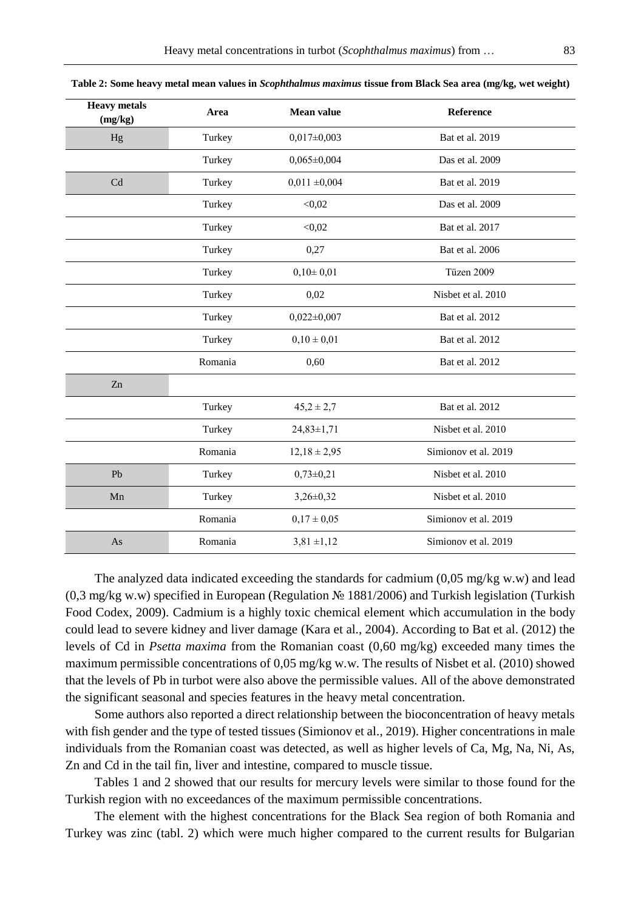| <b>Heavy</b> metals<br>$(\mbox{mg/kg})$ | Area    | <b>Mean value</b> | Reference            |
|-----------------------------------------|---------|-------------------|----------------------|
| Hg                                      | Turkey  | $0,017\pm0,003$   | Bat et al. 2019      |
|                                         | Turkey  | $0.065 \pm 0.004$ | Das et al. 2009      |
| Cd                                      | Turkey  | $0,011 \pm 0,004$ | Bat et al. 2019      |
|                                         | Turkey  | < 0.02            | Das et al. 2009      |
|                                         | Turkey  | < 0.02            | Bat et al. 2017      |
|                                         | Turkey  | 0,27              | Bat et al. 2006      |
|                                         | Turkey  | $0,10\pm0,01$     | Tüzen 2009           |
|                                         | Turkey  | 0,02              | Nisbet et al. 2010   |
|                                         | Turkey  | $0,022 \pm 0,007$ | Bat et al. 2012      |
|                                         | Turkey  | $0,10 \pm 0,01$   | Bat et al. 2012      |
|                                         | Romania | 0,60              | Bat et al. 2012      |
| Zn                                      |         |                   |                      |
|                                         | Turkey  | $45,2 \pm 2,7$    | Bat et al. 2012      |
|                                         | Turkey  | $24,83 \pm 1,71$  | Nisbet et al. 2010   |
|                                         | Romania | $12,18 \pm 2,95$  | Simionov et al. 2019 |
| Pb                                      | Turkey  | $0,73\pm0,21$     | Nisbet et al. 2010   |
| Mn                                      | Turkey  | $3,26 \pm 0,32$   | Nisbet et al. 2010   |
|                                         | Romania | $0.17 \pm 0.05$   | Simionov et al. 2019 |
| As                                      | Romania | $3,81 \pm 1,12$   | Simionov et al. 2019 |

**Table 2: Some heavy metal mean values in** *Scophthalmus maximus* **tissue from Black Sea area (mg/kg, wet weight)**

The analyzed data indicated exceeding the standards for cadmium (0,05 mg/kg w.w) and lead (0,3 mg/kg w.w) specified in European (Regulation № 1881/2006) and Turkish legislation (Turkish Food Codex, 2009). Cadmium is a highly toxic chemical element which accumulation in the body could lead to severe kidney and liver damage (Kara et al., 2004). According to Bat et al. (2012) the levels of Cd in *Psetta maxima* from the Romanian coast (0,60 mg/kg) exceeded many times the maximum permissible concentrations of 0,05 mg/kg w.w. The results of Nisbet et al. (2010) showed that the levels of Pb in turbot were also above the permissible values. All of the above demonstrated the significant seasonal and species features in the heavy metal concentration.

Some authors also reported a direct relationship between the bioconcentration of heavy metals with fish gender and the type of tested tissues (Simionov et al., 2019). Higher concentrations in male individuals from the Romanian coast was detected, as well as higher levels of Ca, Mg, Na, Ni, As, Zn and Cd in the tail fin, liver and intestine, compared to muscle tissue.

Tables 1 and 2 showed that our results for mercury levels were similar to those found for the Turkish region with no exceedances of the maximum permissible concentrations.

The element with the highest concentrations for the Black Sea region of both Romania and Turkey was zinc (tabl. 2) which were much higher compared to the current results for Bulgarian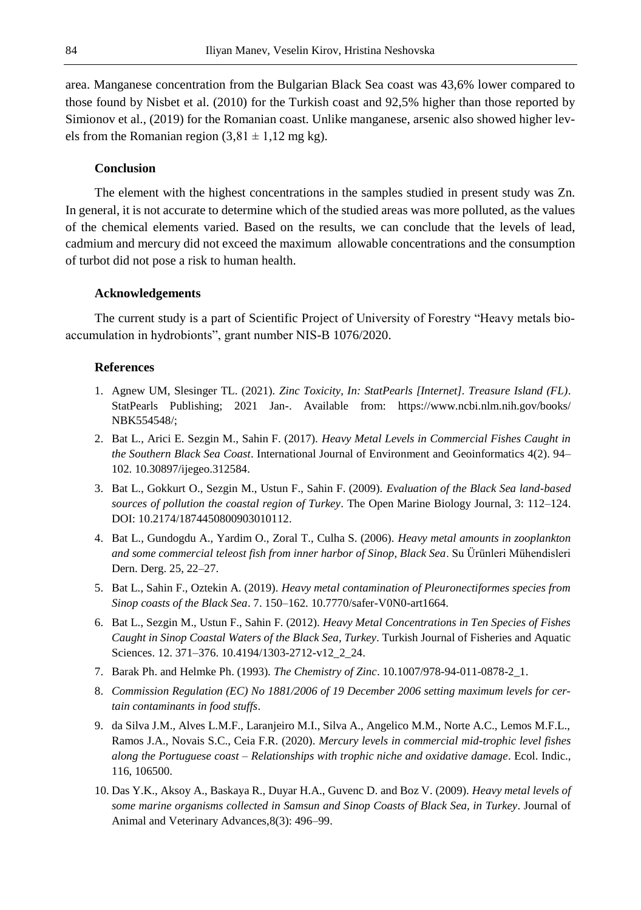area. Manganese concentration from the Bulgarian Black Sea coast was 43,6% lower compared to those found by Nisbet et al. (2010) for the Turkish coast and 92,5% higher than those reported by Simionov et al., (2019) for the Romanian coast. Unlike manganese, arsenic also showed higher levels from the Romanian region  $(3,81 \pm 1,12 \text{ mg kg})$ .

#### **Conclusion**

The element with the highest concentrations in the samples studied in present study was Zn. In general, it is not accurate to determine which of the studied areas was more polluted, as the values of the chemical elements varied. Based on the results, we can conclude that the levels of lead, cadmium and mercury did not exceed the maximum allowable concentrations and the consumption of turbot did not pose a risk to human health.

#### **Acknowledgements**

The current study is a part of Scientific Project of University of Forestry "Heavy metals bioaccumulation in hydrobionts", grant number NIS-B 1076/2020.

## **References**

- 1. Agnew UM, Slesinger TL. (2021). *Zinc Toxicity, In: StatPearls [Internet]. Treasure Island (FL)*. StatPearls Publishing; 2021 Jan-. Available from: https://www.ncbi.nlm.nih.gov/books/ NBK554548/;
- 2. Bat L., Arici E. Sezgin M., Sahin F. (2017). *Heavy Metal Levels in Commercial Fishes Caught in the Southern Black Sea Coast*. International Journal of Environment and Geoinformatics 4(2). 94– 102. 10.30897/ijegeo.312584.
- 3. Bat L., Gokkurt O., Sezgin M., Ustun F., Sahin F. (2009). *Evaluation of the Black Sea land-based sources of pollution the coastal region of Turkey*. The Open Marine Biology Journal, 3: 112–124. DOI: 10.2174/1874450800903010112.
- 4. Bat L., Gundogdu A., Yardim O., Zoral T., Culha S. (2006). *Heavy metal amounts in zooplankton and some commercial teleost fish from inner harbor of Sinop, Black Sea*. Su Ürünleri Mühendisleri Dern. Derg. 25, 22–27.
- 5. Bat L., Sahin F., Oztekin A. (2019). *Heavy metal contamination of Pleuronectiformes species from Sinop coasts of the Black Sea*. 7. 150–162. 10.7770/safer-V0N0-art1664.
- 6. Bat L., Sezgin M., Ustun F., Sahin F. (2012). *Heavy Metal Concentrations in Ten Species of Fishes Caught in Sinop Coastal Waters of the Black Sea, Turkey*. Turkish Journal of Fisheries and Aquatic Sciences. 12. 371–376. 10.4194/1303-2712-v12\_2\_24.
- 7. Barak Ph. and Helmke Ph. (1993). *The Chemistry of Zinc*. 10.1007/978-94-011-0878-2\_1.
- 8. *Commission Regulation (EC) No 1881/2006 of 19 December 2006 setting maximum levels for certain contaminants in food stuffs*.
- 9. da Silva J.M., Alves L.M.F., Laranjeiro M.I., Silva A., Angelico M.M., Norte A.C., Lemos M.F.L., Ramos J.A., Novais S.C., Ceia F.R. (2020). *Mercury levels in commercial mid-trophic level fishes along the Portuguese coast* – *Relationships with trophic niche and oxidative damage*. Ecol. Indic., 116, 106500.
- 10. Das Y.K., Aksoy A., Baskaya R., Duyar H.A., Guvenc D. and Boz V. (2009). *Heavy metal levels of some marine organisms collected in Samsun and Sinop Coasts of Black Sea, in Turkey*. Journal of Animal and Veterinary Advances,8(3): 496–99.